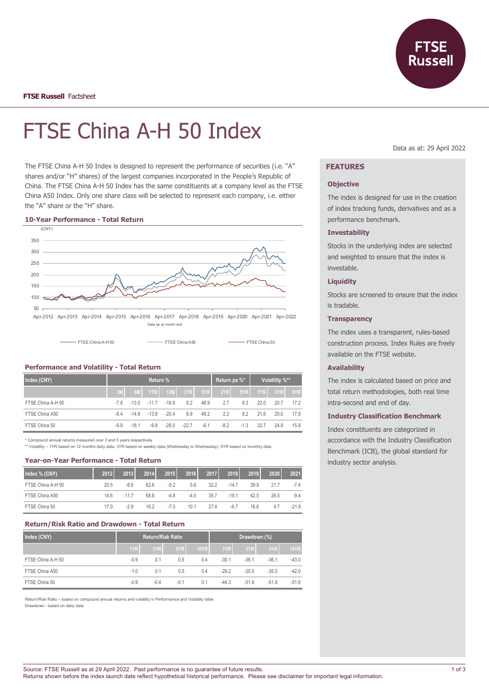

# FTSE China A-H 50 Index

The FTSE China A-H 50 Index is designed to represent the performance of securities (i.e. "A" shares and/or "H" shares) of the largest companies incorporated in the People's Republic of China. The FTSE China A-H 50 Index has the same constituents at a company level as the FTSE China A50 Index. Only one share class will be selected to represent each company, i.e. either the "A" share or the "H" share.

#### **10-Year Performance - Total Return**



## **Performance and Volatility - Total Return**

| Index (CNY)       | Return % |         |                         |                |        |        | Return pa %* |        | Volatility %** |           |      |
|-------------------|----------|---------|-------------------------|----------------|--------|--------|--------------|--------|----------------|-----------|------|
|                   | 3M       |         |                         | 6M YTD 12M 3YR |        | 5YR    | $3YR$ $5YR$  |        |                | $1YR$ 3YR | 5YR  |
| FTSE China A-H 50 | -78      |         | $-13.0 -11.7$           | $-18.9$        | 8.2    | 48.9   | 2.7          | 8.3    | 22.0           | 20.7      | 17.2 |
| FTSE China A50    | -84      |         | $-14.8$ $-13.8$ $-20.4$ |                | 6.9    | 48.2   | 2.2          | 8.2    | 21.6           | 20.0      | 17.9 |
| FTSE China 50     | $-9.9$   | $-18.1$ | -99                     | $-280$         | $-227$ | $-6.1$ | $-8.2$       | $-1.3$ | 32.7           | 24.9      | 15.9 |

\* Compound annual returns measured over 3 and 5 years respectively

\*\* Volatility – 1YR based on 12 months daily data. 3YR based on weekly data (Wednesday to Wednesday). 5YR based on monthly data

#### **Year-on-Year Performance - Total Return**

| Index % (CNY)     | 2012 | 2013   | 2014 | 2015   | 2016   | 2017 | 2018    | 2019 | 2020 | 2021    |
|-------------------|------|--------|------|--------|--------|------|---------|------|------|---------|
| FTSE China A-H 50 | 20.5 | $-8.6$ | 62.6 | $-5.2$ | 5.6    | 32.2 | $-147$  | 39.9 | 21.7 | $-7.4$  |
| FTSE China A50    | 14.6 | $-117$ | 68.8 | $-4.8$ | $-4.0$ | 35.7 | $-19.1$ | 42.5 | 26.5 | $-9.4$  |
| FTSE China 50     | 170  | $-2.9$ | 16.2 | $-7.0$ | 10.1   | 27.4 | $-6.7$  | 16.6 | 4.7  | $-21.9$ |

## **Return/Risk Ratio and Drawdown - Total Return**

| Index (CNY)       | <b>Return/Risk Ratio</b> |        |        |             | Drawdown (%) |         |         |             |
|-------------------|--------------------------|--------|--------|-------------|--------------|---------|---------|-------------|
|                   | 1YR                      | 3YR    | 5YR    | <b>10YR</b> | 1YR          | 3YR     | 5YR     | <b>10YR</b> |
| FTSE China A-H 50 | $-0.9$                   | 0.1    | 0.5    | 0.4         | $-30.1$      | $-36.1$ | $-36.1$ | $-43.0$     |
| FTSE China A50    | $-1.0$                   | 0.1    | 0.5    | 0.4         | $-29.2$      | $-35.5$ | $-35.5$ | $-42.0$     |
| FTSE China 50     | $-0.9$                   | $-0.4$ | $-0.1$ | 0.1         | $-44.3$      | $-51.6$ | $-51.6$ | $-51.6$     |

Return/Risk Ratio – based on compound annual returns and volatility in Performance and Volatility table Drawdown - based on daily data

Data as at: 29 April 2022

## **FEATURES**

#### **Objective**

The index is designed for use in the creation of index tracking funds, derivatives and as a performance benchmark.

### **Investability**

Stocks in the underlying index are selected and weighted to ensure that the index is investable.

#### **Liquidity**

Stocks are screened to ensure that the index is tradable.

### **Transparency**

The index uses a transparent, rules-based construction process. Index Rules are freely available on the FTSE website.

#### **Availability**

The index is calculated based on price and total return methodologies, both real time intra-second and end of day.

#### **Industry Classification Benchmark**

Index constituents are categorized in accordance with the Industry Classification Benchmark (ICB), the global standard for industry sector analysis.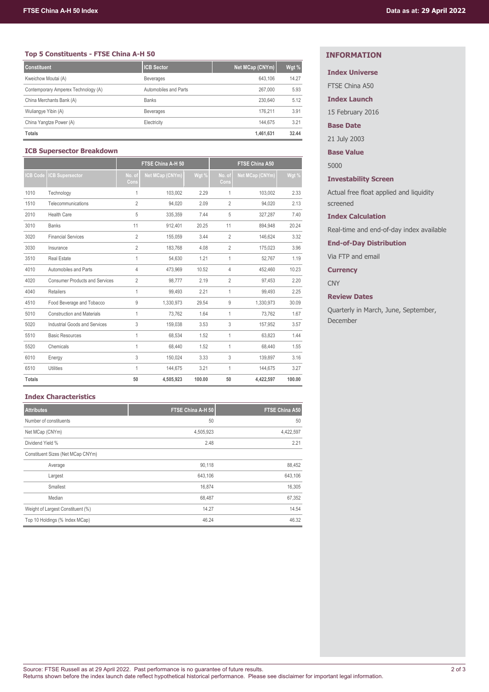## **Top 5 Constituents - FTSE China A-H 50**

| <b>Constituent</b>                  | ICB Sector            | Net MCap (CNYm) | Wgt % |
|-------------------------------------|-----------------------|-----------------|-------|
| Kweichow Moutai (A)                 | <b>Beverages</b>      | 643.106         | 14.27 |
| Contemporary Amperex Technology (A) | Automobiles and Parts | 267,000         | 5.93  |
| China Merchants Bank (A)            | <b>Banks</b>          | 230.640         | 5.12  |
| Wuliangye Yibin (A)                 | <b>Beverages</b>      | 176.211         | 3.91  |
| China Yangtze Power (A)             | Electricity           | 144.675         | 3.21  |
| <b>Totals</b>                       |                       | 1,461,631       | 32.44 |

## **ICB Supersector Breakdown**

|                |                                       |                | FTSE China A-H 50 |        | <b>FTSE China A50</b> |                 |        |  |
|----------------|---------------------------------------|----------------|-------------------|--------|-----------------------|-----------------|--------|--|
| <b>CB Code</b> | <b>CB Supersector</b>                 | No. of<br>Cons | Net MCap (CNYm)   | Wgt %  | No. of<br>Cons        | Net MCap (CNYm) | Wgt %  |  |
| 1010           | Technology                            | 1              | 103.002           | 2.29   | 1                     | 103.002         | 2.33   |  |
| 1510           | Telecommunications                    | $\overline{2}$ | 94,020            | 2.09   | $\overline{2}$        | 94.020          | 2.13   |  |
| 2010           | <b>Health Care</b>                    | 5              | 335,359           | 7.44   | 5                     | 327,287         | 7.40   |  |
| 3010           | <b>Banks</b>                          | 11             | 912.401           | 20.25  | 11                    | 894.948         | 20.24  |  |
| 3020           | <b>Financial Services</b>             | $\overline{2}$ | 155.059           | 3.44   | $\overline{2}$        | 146.624         | 3.32   |  |
| 3030           | Insurance                             | $\overline{2}$ | 183,768           | 4.08   | $\overline{2}$        | 175,023         | 3.96   |  |
| 3510           | <b>Real Estate</b>                    | 1              | 54,630            | 1.21   | 1                     | 52.767          | 1.19   |  |
| 4010           | Automobiles and Parts                 | 4              | 473,969           | 10.52  | 4                     | 452,460         | 10.23  |  |
| 4020           | <b>Consumer Products and Services</b> | $\overline{2}$ | 98.777            | 2.19   | $\overline{2}$        | 97,453          | 2.20   |  |
| 4040           | <b>Retailers</b>                      | 1              | 99,493            | 2.21   | $\mathbf{1}$          | 99,493          | 2.25   |  |
| 4510           | Food Beverage and Tobacco             | 9              | 1,330,973         | 29.54  | 9                     | 1,330,973       | 30.09  |  |
| 5010           | <b>Construction and Materials</b>     | 1              | 73,762            | 1.64   | $\mathbf{1}$          | 73,762          | 1.67   |  |
| 5020           | Industrial Goods and Services         | 3              | 159,038           | 3.53   | 3                     | 157,952         | 3.57   |  |
| 5510           | <b>Basic Resources</b>                | 1              | 68.534            | 1.52   | $\mathbf{1}$          | 63.823          | 1.44   |  |
| 5520           | Chemicals                             | 1              | 68,440            | 1.52   | $\mathbf{1}$          | 68,440          | 1.55   |  |
| 6010           | Energy                                | 3              | 150,024           | 3.33   | 3                     | 139,897         | 3.16   |  |
| 6510           | <b>Utilities</b>                      | $\mathbf{1}$   | 144,675           | 3.21   | $\mathbf{1}$          | 144.675         | 3.27   |  |
| <b>Totals</b>  |                                       | 50             | 4,505,923         | 100.00 | 50                    | 4.422.597       | 100.00 |  |

## **Index Characteristics**

| <b>Attributes</b>                 | FTSE China A-H 50 | <b>FTSE China A50</b> |
|-----------------------------------|-------------------|-----------------------|
| Number of constituents            | 50                | 50                    |
| Net MCap (CNYm)                   | 4,505,923         | 4,422,597             |
| Dividend Yield %                  | 2.48              | 2.21                  |
| Constituent Sizes (Net MCap CNYm) |                   |                       |
| Average                           | 90,118            | 88,452                |
| Largest                           | 643.106           | 643,106               |
| Smallest                          | 16.874            | 16,305                |
| Median                            | 68,487            | 67,352                |
| Weight of Largest Constituent (%) | 14.27             | 14.54                 |
| Top 10 Holdings (% Index MCap)    | 46.24             | 46.32                 |

# **INFORMATION**

## **Index Universe**

FTSE China A50

## **Index Launch**

15 February 2016

## **Base Date**

21 July 2003

**Base Value**

5000

## **Investability Screen**

Actual free float applied and liquidity screened

### **Index Calculation**

Real-time and end-of-day index available

**End-of-Day Distribution**

Via FTP and email

# **Currency**

**CNY** 

## **Review Dates**

Quarterly in March, June, September, December